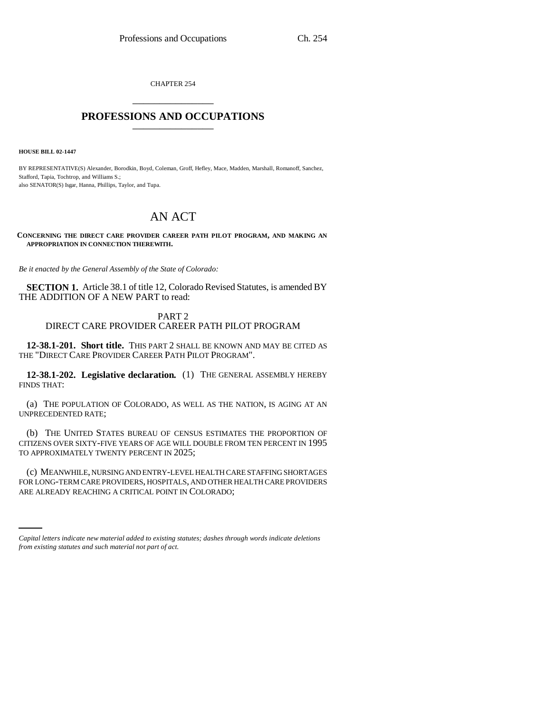CHAPTER 254 \_\_\_\_\_\_\_\_\_\_\_\_\_\_\_

## **PROFESSIONS AND OCCUPATIONS** \_\_\_\_\_\_\_\_\_\_\_\_\_\_\_

**HOUSE BILL 02-1447**

BY REPRESENTATIVE(S) Alexander, Borodkin, Boyd, Coleman, Groff, Hefley, Mace, Madden, Marshall, Romanoff, Sanchez, Stafford, Tapia, Tochtrop, and Williams S.; also SENATOR(S) Isgar, Hanna, Phillips, Taylor, and Tupa.

# AN ACT

**CONCERNING THE DIRECT CARE PROVIDER CAREER PATH PILOT PROGRAM, AND MAKING AN APPROPRIATION IN CONNECTION THEREWITH.**

*Be it enacted by the General Assembly of the State of Colorado:*

**SECTION 1.** Article 38.1 of title 12, Colorado Revised Statutes, is amended BY THE ADDITION OF A NEW PART to read:

## PART 2 DIRECT CARE PROVIDER CAREER PATH PILOT PROGRAM

**12-38.1-201. Short title.** THIS PART 2 SHALL BE KNOWN AND MAY BE CITED AS THE "DIRECT CARE PROVIDER CAREER PATH PILOT PROGRAM".

**12-38.1-202. Legislative declaration.** (1) THE GENERAL ASSEMBLY HEREBY FINDS THAT:

(a) THE POPULATION OF COLORADO, AS WELL AS THE NATION, IS AGING AT AN UNPRECEDENTED RATE;

(b) THE UNITED STATES BUREAU OF CENSUS ESTIMATES THE PROPORTION OF CITIZENS OVER SIXTY-FIVE YEARS OF AGE WILL DOUBLE FROM TEN PERCENT IN 1995 TO APPROXIMATELY TWENTY PERCENT IN 2025;

FOR LONG-TERM CARE PROVIDERS, HOSPITALS, AND OTHER HEALTH CARE PROVIDERS (c) MEANWHILE, NURSING AND ENTRY-LEVEL HEALTH CARE STAFFING SHORTAGES ARE ALREADY REACHING A CRITICAL POINT IN COLORADO;

*Capital letters indicate new material added to existing statutes; dashes through words indicate deletions from existing statutes and such material not part of act.*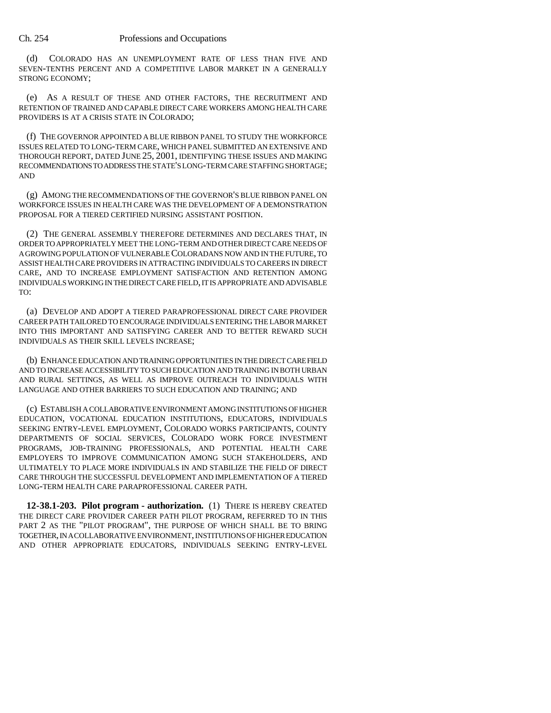### Ch. 254 Professions and Occupations

(d) COLORADO HAS AN UNEMPLOYMENT RATE OF LESS THAN FIVE AND SEVEN-TENTHS PERCENT AND A COMPETITIVE LABOR MARKET IN A GENERALLY STRONG ECONOMY;

(e) AS A RESULT OF THESE AND OTHER FACTORS, THE RECRUITMENT AND RETENTION OF TRAINED AND CAPABLE DIRECT CARE WORKERS AMONG HEALTH CARE PROVIDERS IS AT A CRISIS STATE IN COLORADO;

(f) THE GOVERNOR APPOINTED A BLUE RIBBON PANEL TO STUDY THE WORKFORCE ISSUES RELATED TO LONG-TERM CARE, WHICH PANEL SUBMITTED AN EXTENSIVE AND THOROUGH REPORT, DATED JUNE 25, 2001, IDENTIFYING THESE ISSUES AND MAKING RECOMMENDATIONS TO ADDRESS THE STATE'S LONG-TERM CARE STAFFING SHORTAGE; AND

(g) AMONG THE RECOMMENDATIONS OF THE GOVERNOR'S BLUE RIBBON PANEL ON WORKFORCE ISSUES IN HEALTH CARE WAS THE DEVELOPMENT OF A DEMONSTRATION PROPOSAL FOR A TIERED CERTIFIED NURSING ASSISTANT POSITION.

(2) THE GENERAL ASSEMBLY THEREFORE DETERMINES AND DECLARES THAT, IN ORDER TO APPROPRIATELY MEET THE LONG-TERM AND OTHER DIRECT CARE NEEDS OF A GROWING POPULATION OF VULNERABLE COLORADANS NOW AND IN THE FUTURE, TO ASSIST HEALTH CARE PROVIDERS IN ATTRACTING INDIVIDUALS TO CAREERS IN DIRECT CARE, AND TO INCREASE EMPLOYMENT SATISFACTION AND RETENTION AMONG INDIVIDUALS WORKING IN THE DIRECT CARE FIELD, IT IS APPROPRIATE AND ADVISABLE TO:

(a) DEVELOP AND ADOPT A TIERED PARAPROFESSIONAL DIRECT CARE PROVIDER CAREER PATH TAILORED TO ENCOURAGE INDIVIDUALS ENTERING THE LABOR MARKET INTO THIS IMPORTANT AND SATISFYING CAREER AND TO BETTER REWARD SUCH INDIVIDUALS AS THEIR SKILL LEVELS INCREASE;

(b) ENHANCE EDUCATION AND TRAINING OPPORTUNITIES IN THE DIRECT CARE FIELD AND TO INCREASE ACCESSIBILITY TO SUCH EDUCATION AND TRAINING IN BOTH URBAN AND RURAL SETTINGS, AS WELL AS IMPROVE OUTREACH TO INDIVIDUALS WITH LANGUAGE AND OTHER BARRIERS TO SUCH EDUCATION AND TRAINING; AND

(c) ESTABLISH A COLLABORATIVE ENVIRONMENT AMONG INSTITUTIONS OF HIGHER EDUCATION, VOCATIONAL EDUCATION INSTITUTIONS, EDUCATORS, INDIVIDUALS SEEKING ENTRY-LEVEL EMPLOYMENT, COLORADO WORKS PARTICIPANTS, COUNTY DEPARTMENTS OF SOCIAL SERVICES, COLORADO WORK FORCE INVESTMENT PROGRAMS, JOB-TRAINING PROFESSIONALS, AND POTENTIAL HEALTH CARE EMPLOYERS TO IMPROVE COMMUNICATION AMONG SUCH STAKEHOLDERS, AND ULTIMATELY TO PLACE MORE INDIVIDUALS IN AND STABILIZE THE FIELD OF DIRECT CARE THROUGH THE SUCCESSFUL DEVELOPMENT AND IMPLEMENTATION OF A TIERED LONG-TERM HEALTH CARE PARAPROFESSIONAL CAREER PATH.

**12-38.1-203. Pilot program - authorization.** (1) THERE IS HEREBY CREATED THE DIRECT CARE PROVIDER CAREER PATH PILOT PROGRAM, REFERRED TO IN THIS PART 2 AS THE "PILOT PROGRAM", THE PURPOSE OF WHICH SHALL BE TO BRING TOGETHER, IN A COLLABORATIVE ENVIRONMENT, INSTITUTIONS OF HIGHER EDUCATION AND OTHER APPROPRIATE EDUCATORS, INDIVIDUALS SEEKING ENTRY-LEVEL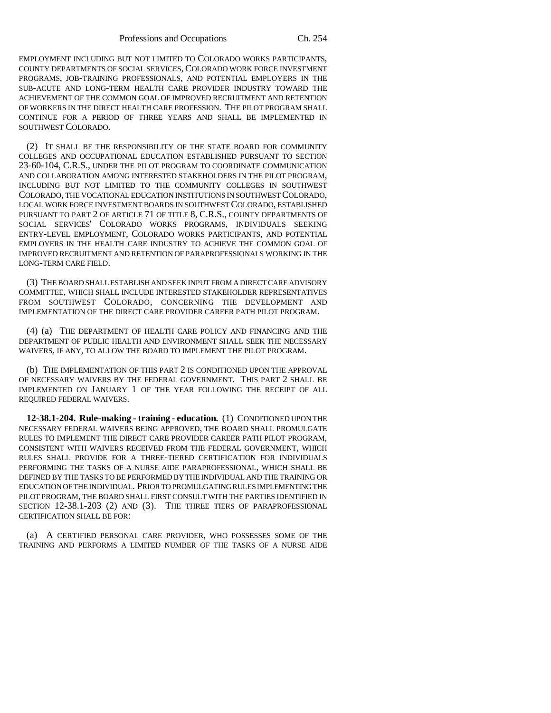EMPLOYMENT INCLUDING BUT NOT LIMITED TO COLORADO WORKS PARTICIPANTS, COUNTY DEPARTMENTS OF SOCIAL SERVICES,COLORADO WORK FORCE INVESTMENT PROGRAMS, JOB-TRAINING PROFESSIONALS, AND POTENTIAL EMPLOYERS IN THE SUB-ACUTE AND LONG-TERM HEALTH CARE PROVIDER INDUSTRY TOWARD THE ACHIEVEMENT OF THE COMMON GOAL OF IMPROVED RECRUITMENT AND RETENTION OF WORKERS IN THE DIRECT HEALTH CARE PROFESSION. THE PILOT PROGRAM SHALL CONTINUE FOR A PERIOD OF THREE YEARS AND SHALL BE IMPLEMENTED IN SOUTHWEST COLORADO.

(2) IT SHALL BE THE RESPONSIBILITY OF THE STATE BOARD FOR COMMUNITY COLLEGES AND OCCUPATIONAL EDUCATION ESTABLISHED PURSUANT TO SECTION 23-60-104, C.R.S., UNDER THE PILOT PROGRAM TO COORDINATE COMMUNICATION AND COLLABORATION AMONG INTERESTED STAKEHOLDERS IN THE PILOT PROGRAM, INCLUDING BUT NOT LIMITED TO THE COMMUNITY COLLEGES IN SOUTHWEST COLORADO, THE VOCATIONAL EDUCATION INSTITUTIONS IN SOUTHWEST COLORADO, LOCAL WORK FORCE INVESTMENT BOARDS IN SOUTHWEST COLORADO, ESTABLISHED PURSUANT TO PART 2 OF ARTICLE 71 OF TITLE 8, C.R.S., COUNTY DEPARTMENTS OF SOCIAL SERVICES' COLORADO WORKS PROGRAMS, INDIVIDUALS SEEKING ENTRY-LEVEL EMPLOYMENT, COLORADO WORKS PARTICIPANTS, AND POTENTIAL EMPLOYERS IN THE HEALTH CARE INDUSTRY TO ACHIEVE THE COMMON GOAL OF IMPROVED RECRUITMENT AND RETENTION OF PARAPROFESSIONALS WORKING IN THE LONG-TERM CARE FIELD.

(3) THE BOARD SHALL ESTABLISH AND SEEK INPUT FROM A DIRECT CARE ADVISORY COMMITTEE, WHICH SHALL INCLUDE INTERESTED STAKEHOLDER REPRESENTATIVES FROM SOUTHWEST COLORADO, CONCERNING THE DEVELOPMENT AND IMPLEMENTATION OF THE DIRECT CARE PROVIDER CAREER PATH PILOT PROGRAM.

(4) (a) THE DEPARTMENT OF HEALTH CARE POLICY AND FINANCING AND THE DEPARTMENT OF PUBLIC HEALTH AND ENVIRONMENT SHALL SEEK THE NECESSARY WAIVERS, IF ANY, TO ALLOW THE BOARD TO IMPLEMENT THE PILOT PROGRAM.

(b) THE IMPLEMENTATION OF THIS PART 2 IS CONDITIONED UPON THE APPROVAL OF NECESSARY WAIVERS BY THE FEDERAL GOVERNMENT. THIS PART 2 SHALL BE IMPLEMENTED ON JANUARY 1 OF THE YEAR FOLLOWING THE RECEIPT OF ALL REQUIRED FEDERAL WAIVERS.

**12-38.1-204. Rule-making - training - education.** (1) CONDITIONED UPON THE NECESSARY FEDERAL WAIVERS BEING APPROVED, THE BOARD SHALL PROMULGATE RULES TO IMPLEMENT THE DIRECT CARE PROVIDER CAREER PATH PILOT PROGRAM, CONSISTENT WITH WAIVERS RECEIVED FROM THE FEDERAL GOVERNMENT, WHICH RULES SHALL PROVIDE FOR A THREE-TIERED CERTIFICATION FOR INDIVIDUALS PERFORMING THE TASKS OF A NURSE AIDE PARAPROFESSIONAL, WHICH SHALL BE DEFINED BY THE TASKS TO BE PERFORMED BY THE INDIVIDUAL AND THE TRAINING OR EDUCATION OF THE INDIVIDUAL. PRIOR TO PROMULGATING RULES IMPLEMENTING THE PILOT PROGRAM, THE BOARD SHALL FIRST CONSULT WITH THE PARTIES IDENTIFIED IN SECTION 12-38.1-203 (2) AND (3). THE THREE TIERS OF PARAPROFESSIONAL CERTIFICATION SHALL BE FOR:

(a) A CERTIFIED PERSONAL CARE PROVIDER, WHO POSSESSES SOME OF THE TRAINING AND PERFORMS A LIMITED NUMBER OF THE TASKS OF A NURSE AIDE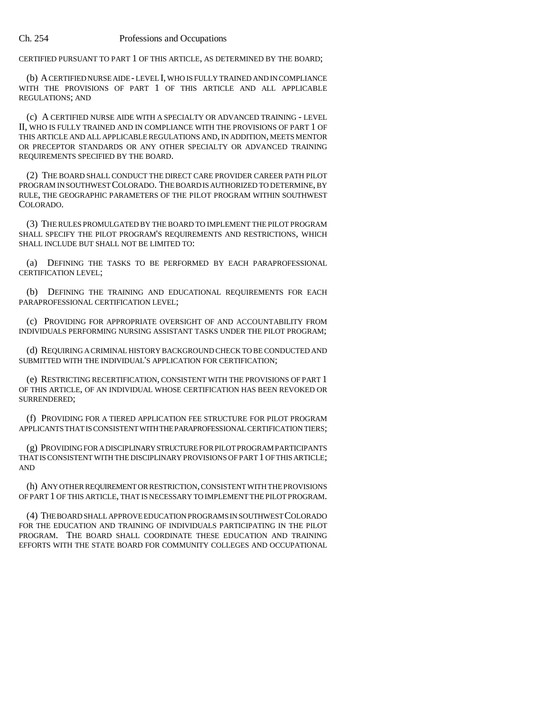CERTIFIED PURSUANT TO PART 1 OF THIS ARTICLE, AS DETERMINED BY THE BOARD;

(b) A CERTIFIED NURSE AIDE - LEVEL I, WHO IS FULLY TRAINED AND IN COMPLIANCE WITH THE PROVISIONS OF PART 1 OF THIS ARTICLE AND ALL APPLICABLE REGULATIONS; AND

(c) A CERTIFIED NURSE AIDE WITH A SPECIALTY OR ADVANCED TRAINING - LEVEL II, WHO IS FULLY TRAINED AND IN COMPLIANCE WITH THE PROVISIONS OF PART 1 OF THIS ARTICLE AND ALL APPLICABLE REGULATIONS AND, IN ADDITION, MEETS MENTOR OR PRECEPTOR STANDARDS OR ANY OTHER SPECIALTY OR ADVANCED TRAINING REQUIREMENTS SPECIFIED BY THE BOARD.

(2) THE BOARD SHALL CONDUCT THE DIRECT CARE PROVIDER CAREER PATH PILOT PROGRAM IN SOUTHWEST COLORADO. THE BOARD IS AUTHORIZED TO DETERMINE, BY RULE, THE GEOGRAPHIC PARAMETERS OF THE PILOT PROGRAM WITHIN SOUTHWEST COLORADO.

(3) THE RULES PROMULGATED BY THE BOARD TO IMPLEMENT THE PILOT PROGRAM SHALL SPECIFY THE PILOT PROGRAM'S REQUIREMENTS AND RESTRICTIONS, WHICH SHALL INCLUDE BUT SHALL NOT BE LIMITED TO:

(a) DEFINING THE TASKS TO BE PERFORMED BY EACH PARAPROFESSIONAL CERTIFICATION LEVEL;

(b) DEFINING THE TRAINING AND EDUCATIONAL REQUIREMENTS FOR EACH PARAPROFESSIONAL CERTIFICATION LEVEL;

(c) PROVIDING FOR APPROPRIATE OVERSIGHT OF AND ACCOUNTABILITY FROM INDIVIDUALS PERFORMING NURSING ASSISTANT TASKS UNDER THE PILOT PROGRAM;

(d) REQUIRING A CRIMINAL HISTORY BACKGROUND CHECK TO BE CONDUCTED AND SUBMITTED WITH THE INDIVIDUAL'S APPLICATION FOR CERTIFICATION;

(e) RESTRICTING RECERTIFICATION, CONSISTENT WITH THE PROVISIONS OF PART 1 OF THIS ARTICLE, OF AN INDIVIDUAL WHOSE CERTIFICATION HAS BEEN REVOKED OR SURRENDERED;

(f) PROVIDING FOR A TIERED APPLICATION FEE STRUCTURE FOR PILOT PROGRAM APPLICANTS THAT IS CONSISTENT WITH THE PARAPROFESSIONAL CERTIFICATION TIERS;

(g) PROVIDING FOR A DISCIPLINARY STRUCTURE FOR PILOT PROGRAM PARTICIPANTS THAT IS CONSISTENT WITH THE DISCIPLINARY PROVISIONS OF PART 1 OF THIS ARTICLE; AND

(h) ANY OTHER REQUIREMENT OR RESTRICTION, CONSISTENT WITH THE PROVISIONS OF PART 1 OF THIS ARTICLE, THAT IS NECESSARY TO IMPLEMENT THE PILOT PROGRAM.

(4) THE BOARD SHALL APPROVE EDUCATION PROGRAMS IN SOUTHWEST COLORADO FOR THE EDUCATION AND TRAINING OF INDIVIDUALS PARTICIPATING IN THE PILOT PROGRAM. THE BOARD SHALL COORDINATE THESE EDUCATION AND TRAINING EFFORTS WITH THE STATE BOARD FOR COMMUNITY COLLEGES AND OCCUPATIONAL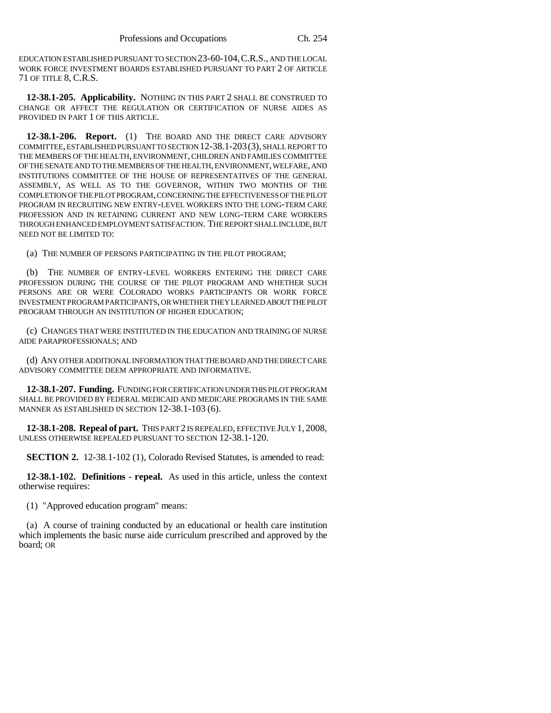EDUCATION ESTABLISHED PURSUANT TO SECTION 23-60-104,C.R.S., AND THE LOCAL WORK FORCE INVESTMENT BOARDS ESTABLISHED PURSUANT TO PART 2 OF ARTICLE 71 OF TITLE 8, C.R.S.

**12-38.1-205. Applicability.** NOTHING IN THIS PART 2 SHALL BE CONSTRUED TO CHANGE OR AFFECT THE REGULATION OR CERTIFICATION OF NURSE AIDES AS PROVIDED IN PART 1 OF THIS ARTICLE.

**12-38.1-206. Report.** (1) THE BOARD AND THE DIRECT CARE ADVISORY COMMITTEE, ESTABLISHED PURSUANT TO SECTION 12-38.1-203(3), SHALL REPORT TO THE MEMBERS OF THE HEALTH, ENVIRONMENT, CHILDREN AND FAMILIES COMMITTEE OF THE SENATE AND TO THE MEMBERS OF THE HEALTH, ENVIRONMENT, WELFARE, AND INSTITUTIONS COMMITTEE OF THE HOUSE OF REPRESENTATIVES OF THE GENERAL ASSEMBLY, AS WELL AS TO THE GOVERNOR, WITHIN TWO MONTHS OF THE COMPLETION OF THE PILOT PROGRAM, CONCERNING THE EFFECTIVENESS OF THE PILOT PROGRAM IN RECRUITING NEW ENTRY-LEVEL WORKERS INTO THE LONG-TERM CARE PROFESSION AND IN RETAINING CURRENT AND NEW LONG-TERM CARE WORKERS THROUGH ENHANCED EMPLOYMENT SATISFACTION. THE REPORT SHALL INCLUDE, BUT NEED NOT BE LIMITED TO:

(a) THE NUMBER OF PERSONS PARTICIPATING IN THE PILOT PROGRAM;

(b) THE NUMBER OF ENTRY-LEVEL WORKERS ENTERING THE DIRECT CARE PROFESSION DURING THE COURSE OF THE PILOT PROGRAM AND WHETHER SUCH PERSONS ARE OR WERE COLORADO WORKS PARTICIPANTS OR WORK FORCE INVESTMENT PROGRAM PARTICIPANTS, OR WHETHER THEY LEARNED ABOUT THE PILOT PROGRAM THROUGH AN INSTITUTION OF HIGHER EDUCATION;

(c) CHANGES THAT WERE INSTITUTED IN THE EDUCATION AND TRAINING OF NURSE AIDE PARAPROFESSIONALS; AND

(d) ANY OTHER ADDITIONAL INFORMATION THAT THE BOARD AND THE DIRECT CARE ADVISORY COMMITTEE DEEM APPROPRIATE AND INFORMATIVE.

**12-38.1-207. Funding.** FUNDING FOR CERTIFICATION UNDER THIS PILOT PROGRAM SHALL BE PROVIDED BY FEDERAL MEDICAID AND MEDICARE PROGRAMS IN THE SAME MANNER AS ESTABLISHED IN SECTION 12-38.1-103 (6).

**12-38.1-208. Repeal of part.** THIS PART 2 IS REPEALED, EFFECTIVE JULY 1, 2008, UNLESS OTHERWISE REPEALED PURSUANT TO SECTION 12-38.1-120.

**SECTION 2.** 12-38.1-102 (1), Colorado Revised Statutes, is amended to read:

**12-38.1-102. Definitions - repeal.** As used in this article, unless the context otherwise requires:

(1) "Approved education program" means:

(a) A course of training conducted by an educational or health care institution which implements the basic nurse aide curriculum prescribed and approved by the board; OR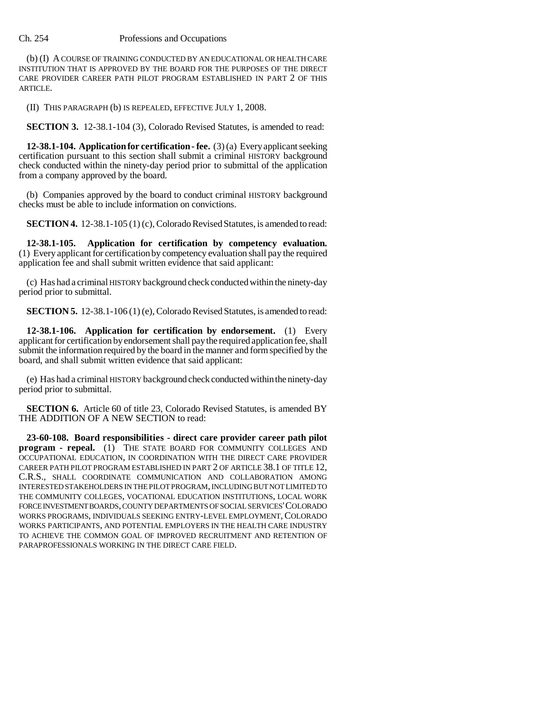### Ch. 254 Professions and Occupations

(b) (I) A COURSE OF TRAINING CONDUCTED BY AN EDUCATIONAL OR HEALTH CARE INSTITUTION THAT IS APPROVED BY THE BOARD FOR THE PURPOSES OF THE DIRECT CARE PROVIDER CAREER PATH PILOT PROGRAM ESTABLISHED IN PART 2 OF THIS ARTICLE.

(II) THIS PARAGRAPH (b) IS REPEALED, EFFECTIVE JULY 1, 2008.

**SECTION 3.** 12-38.1-104 (3), Colorado Revised Statutes, is amended to read:

**12-38.1-104. Application for certification - fee.** (3) (a) Every applicant seeking certification pursuant to this section shall submit a criminal HISTORY background check conducted within the ninety-day period prior to submittal of the application from a company approved by the board.

(b) Companies approved by the board to conduct criminal HISTORY background checks must be able to include information on convictions.

**SECTION 4.** 12-38.1-105 (1) (c), Colorado Revised Statutes, is amended to read:

**12-38.1-105. Application for certification by competency evaluation.** (1) Every applicant for certification by competency evaluation shall pay the required application fee and shall submit written evidence that said applicant:

(c) Has had a criminal HISTORY background check conducted within the ninety-day period prior to submittal.

**SECTION 5.** 12-38.1-106 (1) (e), Colorado Revised Statutes, is amended to read:

**12-38.1-106. Application for certification by endorsement.** (1) Every applicant for certification by endorsement shall pay the required application fee, shall submit the information required by the board in the manner and form specified by the board, and shall submit written evidence that said applicant:

(e) Has had a criminal HISTORY background check conducted within the ninety-day period prior to submittal.

**SECTION 6.** Article 60 of title 23, Colorado Revised Statutes, is amended BY THE ADDITION OF A NEW SECTION to read:

**23-60-108. Board responsibilities - direct care provider career path pilot program - repeal.** (1) THE STATE BOARD FOR COMMUNITY COLLEGES AND OCCUPATIONAL EDUCATION, IN COORDINATION WITH THE DIRECT CARE PROVIDER CAREER PATH PILOT PROGRAM ESTABLISHED IN PART 2 OF ARTICLE 38.1 OF TITLE 12, C.R.S., SHALL COORDINATE COMMUNICATION AND COLLABORATION AMONG INTERESTED STAKEHOLDERS IN THE PILOT PROGRAM, INCLUDING BUT NOT LIMITED TO THE COMMUNITY COLLEGES, VOCATIONAL EDUCATION INSTITUTIONS, LOCAL WORK FORCE INVESTMENT BOARDS, COUNTY DEPARTMENTS OF SOCIAL SERVICES'COLORADO WORKS PROGRAMS, INDIVIDUALS SEEKING ENTRY-LEVEL EMPLOYMENT,COLORADO WORKS PARTICIPANTS, AND POTENTIAL EMPLOYERS IN THE HEALTH CARE INDUSTRY TO ACHIEVE THE COMMON GOAL OF IMPROVED RECRUITMENT AND RETENTION OF PARAPROFESSIONALS WORKING IN THE DIRECT CARE FIELD.